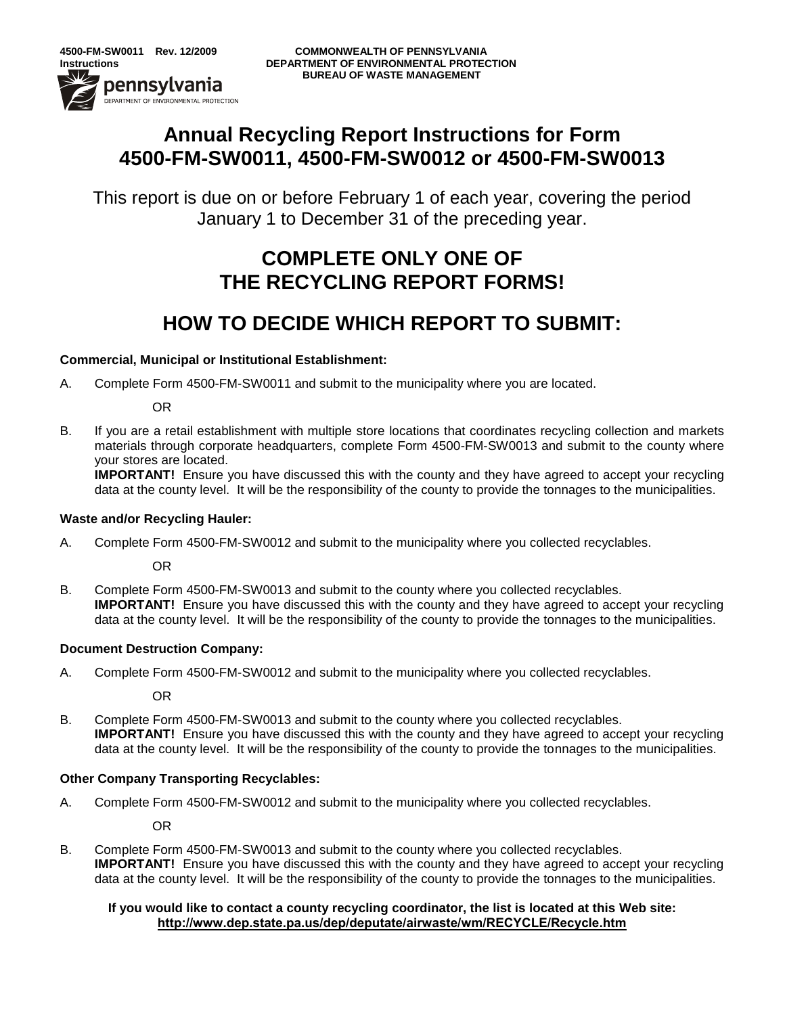### **Annual Recycling Report Instructions for Form 4500-FM-SW0011, 4500-FM-SW0012 or 4500-FM-SW0013**

This report is due on or before February 1 of each year, covering the period January 1 to December 31 of the preceding year.

## **COMPLETE ONLY ONE OF THE RECYCLING REPORT FORMS!**

## **HOW TO DECIDE WHICH REPORT TO SUBMIT:**

#### **Commercial, Municipal or Institutional Establishment:**

A. Complete Form 4500-FM-SW0011 and submit to the municipality where you are located.

OR

B. If you are a retail establishment with multiple store locations that coordinates recycling collection and markets materials through corporate headquarters, complete Form 4500-FM-SW0013 and submit to the county where your stores are located.

**IMPORTANT!** Ensure you have discussed this with the county and they have agreed to accept your recycling data at the county level. It will be the responsibility of the county to provide the tonnages to the municipalities.

#### **Waste and/or Recycling Hauler:**

A. Complete Form 4500-FM-SW0012 and submit to the municipality where you collected recyclables.

OR

B. Complete Form 4500-FM-SW0013 and submit to the county where you collected recyclables. **IMPORTANT!** Ensure you have discussed this with the county and they have agreed to accept your recycling data at the county level. It will be the responsibility of the county to provide the tonnages to the municipalities.

#### **Document Destruction Company:**

A. Complete Form 4500-FM-SW0012 and submit to the municipality where you collected recyclables.

OR

B. Complete Form 4500-FM-SW0013 and submit to the county where you collected recyclables. **IMPORTANT!** Ensure you have discussed this with the county and they have agreed to accept your recycling data at the county level. It will be the responsibility of the county to provide the tonnages to the municipalities.

#### **Other Company Transporting Recyclables:**

A. Complete Form 4500-FM-SW0012 and submit to the municipality where you collected recyclables.

OR

B. Complete Form 4500-FM-SW0013 and submit to the county where you collected recyclables. **IMPORTANT!** Ensure you have discussed this with the county and they have agreed to accept your recycling data at the county level. It will be the responsibility of the county to provide the tonnages to the municipalities.

#### **If you would like to contact a county recycling coordinator, the list is located at this Web site: <http://www.dep.state.pa.us/dep/deputate/airwaste/wm/RECYCLE/Recycle.htm>**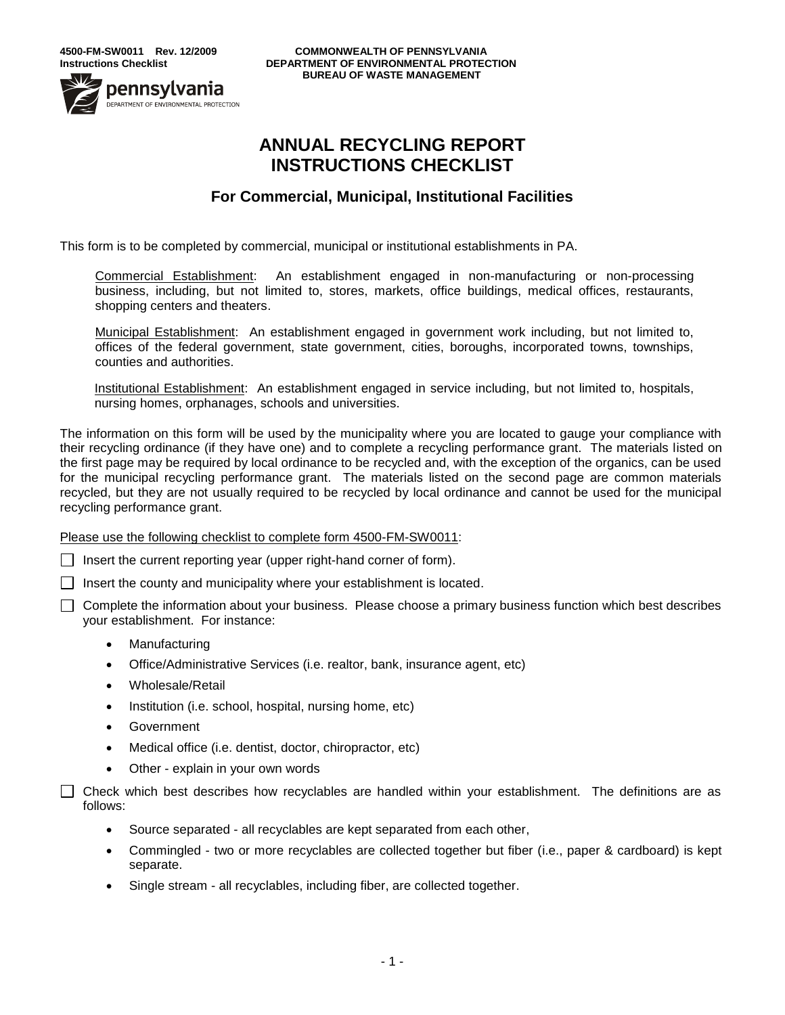

**4500-FM-SW0011 Rev. 12/2009 COMMONWEALTH OF PENNSYLVANIA Instructions Checklist DEPARTMENT OF ENVIRONMENTAL PROTECTION BUREAU OF WASTE MANAGEMENT**

### **ANNUAL RECYCLING REPORT INSTRUCTIONS CHECKLIST**

### **For Commercial, Municipal, Institutional Facilities**

This form is to be completed by commercial, municipal or institutional establishments in PA.

Commercial Establishment: An establishment engaged in non-manufacturing or non-processing business, including, but not limited to, stores, markets, office buildings, medical offices, restaurants, shopping centers and theaters.

Municipal Establishment: An establishment engaged in government work including, but not limited to, offices of the federal government, state government, cities, boroughs, incorporated towns, townships, counties and authorities.

Institutional Establishment: An establishment engaged in service including, but not limited to, hospitals, nursing homes, orphanages, schools and universities.

The information on this form will be used by the municipality where you are located to gauge your compliance with their recycling ordinance (if they have one) and to complete a recycling performance grant. The materials listed on the first page may be required by local ordinance to be recycled and, with the exception of the organics, can be used for the municipal recycling performance grant. The materials listed on the second page are common materials recycled, but they are not usually required to be recycled by local ordinance and cannot be used for the municipal recycling performance grant.

Please use the following checklist to complete form 4500-FM-SW0011:

 $\Box$  Insert the current reporting year (upper right-hand corner of form).

 $\Box$  Insert the county and municipality where your establishment is located.

Complete the information about your business. Please choose a primary business function which best describes your establishment. For instance:

- Manufacturing
- Office/Administrative Services (i.e. realtor, bank, insurance agent, etc)
- Wholesale/Retail
- Institution (i.e. school, hospital, nursing home, etc)
- Government
- Medical office (i.e. dentist, doctor, chiropractor, etc)
- Other explain in your own words

Check which best describes how recyclables are handled within your establishment. The definitions are as follows:

- Source separated all recyclables are kept separated from each other,
- Commingled two or more recyclables are collected together but fiber (i.e., paper & cardboard) is kept separate.
- Single stream all recyclables, including fiber, are collected together.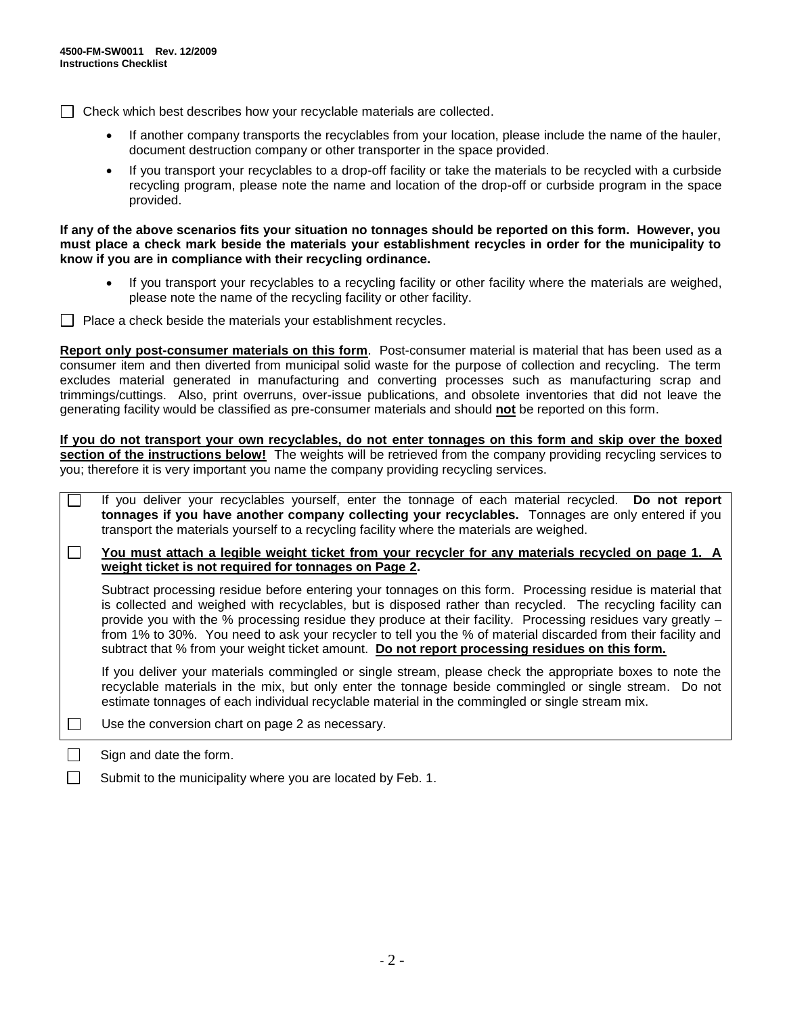$\Box$  Check which best describes how your recyclable materials are collected.

- If another company transports the recyclables from your location, please include the name of the hauler, document destruction company or other transporter in the space provided.
- If you transport your recyclables to a drop-off facility or take the materials to be recycled with a curbside recycling program, please note the name and location of the drop-off or curbside program in the space provided.

#### **If any of the above scenarios fits your situation no tonnages should be reported on this form. However, you must place a check mark beside the materials your establishment recycles in order for the municipality to know if you are in compliance with their recycling ordinance.**

- If you transport your recyclables to a recycling facility or other facility where the materials are weighed, please note the name of the recycling facility or other facility.
- $\Box$  Place a check beside the materials your establishment recycles.

**Report only post-consumer materials on this form**. Post-consumer material is material that has been used as a consumer item and then diverted from municipal solid waste for the purpose of collection and recycling. The term excludes material generated in manufacturing and converting processes such as manufacturing scrap and trimmings/cuttings. Also, print overruns, over-issue publications, and obsolete inventories that did not leave the generating facility would be classified as pre-consumer materials and should **not** be reported on this form.

**If you do not transport your own recyclables, do not enter tonnages on this form and skip over the boxed section of the instructions below!** The weights will be retrieved from the company providing recycling services to you; therefore it is very important you name the company providing recycling services.

| If you deliver your recyclables yourself, enter the tonnage of each material recycled. Do not report<br>tonnages if you have another company collecting your recyclables. Tonnages are only entered if you<br>transport the materials yourself to a recycling facility where the materials are weighed.                                                                                                                                                                                                                                                        |
|----------------------------------------------------------------------------------------------------------------------------------------------------------------------------------------------------------------------------------------------------------------------------------------------------------------------------------------------------------------------------------------------------------------------------------------------------------------------------------------------------------------------------------------------------------------|
| You must attach a legible weight ticket from your recycler for any materials recycled on page 1. A<br>weight ticket is not required for tonnages on Page 2.                                                                                                                                                                                                                                                                                                                                                                                                    |
| Subtract processing residue before entering your tonnages on this form. Processing residue is material that<br>is collected and weighed with recyclables, but is disposed rather than recycled. The recycling facility can<br>provide you with the % processing residue they produce at their facility. Processing residues vary greatly -<br>from 1% to 30%. You need to ask your recycler to tell you the % of material discarded from their facility and<br>subtract that % from your weight ticket amount. Do not report processing residues on this form. |
| If you deliver your materials commingled or single stream, please check the appropriate boxes to note the<br>recyclable materials in the mix, but only enter the tonnage beside commingled or single stream. Do not<br>estimate tonnages of each individual recyclable material in the commingled or single stream mix.                                                                                                                                                                                                                                        |
| Use the conversion chart on page 2 as necessary.                                                                                                                                                                                                                                                                                                                                                                                                                                                                                                               |

Sign and date the form.

 $\Box$ П

Submit to the municipality where you are located by Feb. 1.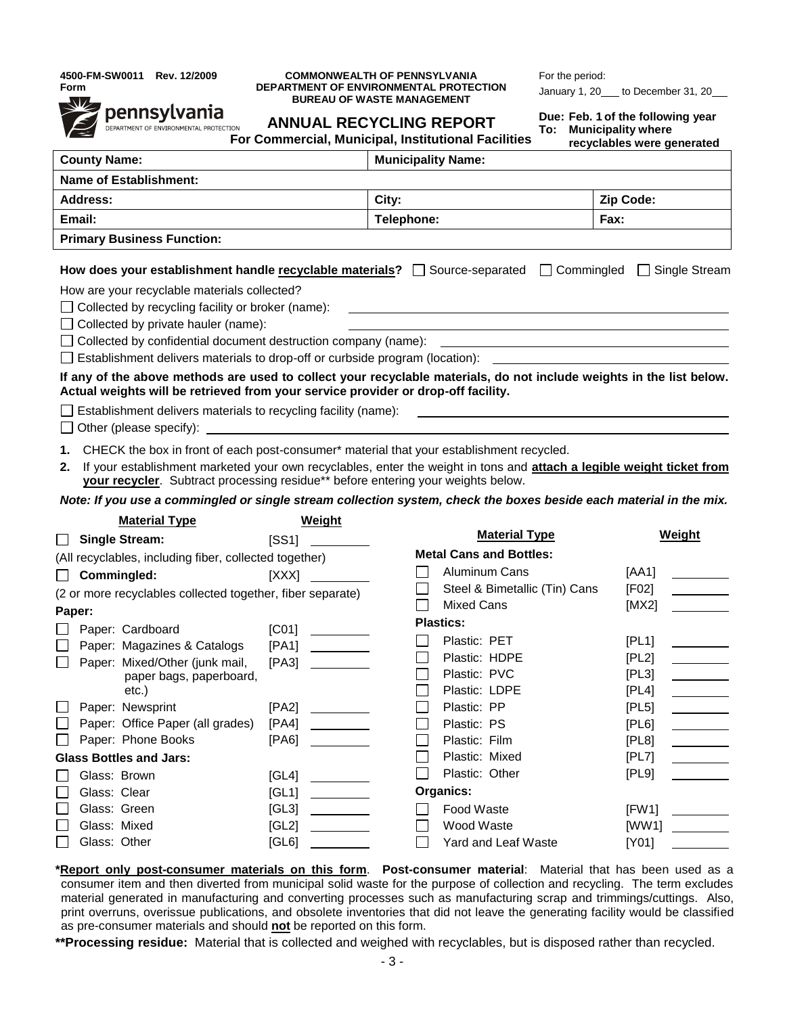**4500-FM-SW0011 Rev. 12/2009 Form**



#### **COMMONWEALTH OF PENNSYLVANIA DEPARTMENT OF ENVIRONMENTAL PROTECTION BUREAU OF WASTE MANAGEMENT**

**ANNUAL RECYCLING REPORT**

For the period: January 1,  $20$  to December 31,  $20$ 

| Due: Feb. 1 of the following year |
|-----------------------------------|
| To: Municipality where            |

| ιv. | <b>INCHILDRESS MICHEL</b>  |
|-----|----------------------------|
|     | recyclables were generated |

| <b>County Name:</b>                                                                                                                                                                                                                                                                                                                                                                                                                                                                                                                                                                                                                                                                                                                                                                                                                                                                                                                                                                              |                                                                              | <b>Municipality Name:</b>                                                                                          |                                        |  |  |
|--------------------------------------------------------------------------------------------------------------------------------------------------------------------------------------------------------------------------------------------------------------------------------------------------------------------------------------------------------------------------------------------------------------------------------------------------------------------------------------------------------------------------------------------------------------------------------------------------------------------------------------------------------------------------------------------------------------------------------------------------------------------------------------------------------------------------------------------------------------------------------------------------------------------------------------------------------------------------------------------------|------------------------------------------------------------------------------|--------------------------------------------------------------------------------------------------------------------|----------------------------------------|--|--|
| <b>Name of Establishment:</b>                                                                                                                                                                                                                                                                                                                                                                                                                                                                                                                                                                                                                                                                                                                                                                                                                                                                                                                                                                    |                                                                              |                                                                                                                    |                                        |  |  |
| <b>Address:</b>                                                                                                                                                                                                                                                                                                                                                                                                                                                                                                                                                                                                                                                                                                                                                                                                                                                                                                                                                                                  |                                                                              | City:                                                                                                              | Zip Code:                              |  |  |
| Email:                                                                                                                                                                                                                                                                                                                                                                                                                                                                                                                                                                                                                                                                                                                                                                                                                                                                                                                                                                                           |                                                                              | Telephone:                                                                                                         | Fax:                                   |  |  |
| <b>Primary Business Function:</b>                                                                                                                                                                                                                                                                                                                                                                                                                                                                                                                                                                                                                                                                                                                                                                                                                                                                                                                                                                |                                                                              |                                                                                                                    |                                        |  |  |
| $\Box$ Commingled<br>How does your establishment handle recyclable materials? $\Box$ Source-separated<br>□ Single Stream<br>How are your recyclable materials collected?<br>Collected by recycling facility or broker (name):<br>$\Box$ Collected by private hauler (name):<br>Collected by confidential document destruction company (name):<br>Establishment delivers materials to drop-off or curbside program (location): _______________________<br>If any of the above methods are used to collect your recyclable materials, do not include weights in the list below.<br>Actual weights will be retrieved from your service provider or drop-off facility.<br>Establishment delivers materials to recycling facility (name):<br>Other (please specify):<br>CHECK the box in front of each post-consumer* material that your establishment recycled.<br>1.<br>If your establishment marketed your own recyclables, enter the weight in tons and attach a legible weight ticket from<br>2. |                                                                              |                                                                                                                    |                                        |  |  |
|                                                                                                                                                                                                                                                                                                                                                                                                                                                                                                                                                                                                                                                                                                                                                                                                                                                                                                                                                                                                  |                                                                              |                                                                                                                    |                                        |  |  |
| your recycler. Subtract processing residue** before entering your weights below.                                                                                                                                                                                                                                                                                                                                                                                                                                                                                                                                                                                                                                                                                                                                                                                                                                                                                                                 |                                                                              | Note: If you use a commingled or single stream collection system, check the boxes beside each material in the mix. |                                        |  |  |
| <b>Material Type</b>                                                                                                                                                                                                                                                                                                                                                                                                                                                                                                                                                                                                                                                                                                                                                                                                                                                                                                                                                                             | <b>Weight</b>                                                                | <b>Material Type</b>                                                                                               | Weight                                 |  |  |
| <b>Single Stream:</b>                                                                                                                                                                                                                                                                                                                                                                                                                                                                                                                                                                                                                                                                                                                                                                                                                                                                                                                                                                            | [SS1]                                                                        | <b>Metal Cans and Bottles:</b>                                                                                     |                                        |  |  |
| (All recyclables, including fiber, collected together)                                                                                                                                                                                                                                                                                                                                                                                                                                                                                                                                                                                                                                                                                                                                                                                                                                                                                                                                           |                                                                              | <b>Aluminum Cans</b>                                                                                               | [AA1]                                  |  |  |
| Commingled:<br>(2 or more recyclables collected together, fiber separate)                                                                                                                                                                                                                                                                                                                                                                                                                                                                                                                                                                                                                                                                                                                                                                                                                                                                                                                        | [XXX]                                                                        | Steel & Bimetallic (Tin) Cans                                                                                      | [FO2]                                  |  |  |
| Paper:                                                                                                                                                                                                                                                                                                                                                                                                                                                                                                                                                                                                                                                                                                                                                                                                                                                                                                                                                                                           |                                                                              | <b>Mixed Cans</b>                                                                                                  | [MX2]                                  |  |  |
| Paper: Cardboard                                                                                                                                                                                                                                                                                                                                                                                                                                                                                                                                                                                                                                                                                                                                                                                                                                                                                                                                                                                 | [CO1]<br>$\overline{\phantom{a}}$ . The contract of $\overline{\phantom{a}}$ | <b>Plastics:</b>                                                                                                   |                                        |  |  |
| Paper: Magazines & Catalogs                                                                                                                                                                                                                                                                                                                                                                                                                                                                                                                                                                                                                                                                                                                                                                                                                                                                                                                                                                      | [PA1]                                                                        | Plastic: PET                                                                                                       | [PL1]                                  |  |  |
| Paper: Mixed/Other (junk mail,                                                                                                                                                                                                                                                                                                                                                                                                                                                                                                                                                                                                                                                                                                                                                                                                                                                                                                                                                                   | [PA3]                                                                        | Plastic: HDPE                                                                                                      | [PL2]                                  |  |  |
| paper bags, paperboard,                                                                                                                                                                                                                                                                                                                                                                                                                                                                                                                                                                                                                                                                                                                                                                                                                                                                                                                                                                          |                                                                              | Plastic: PVC                                                                                                       | [PL3]<br>$\overline{\phantom{a}}$      |  |  |
| $etc.$ )                                                                                                                                                                                                                                                                                                                                                                                                                                                                                                                                                                                                                                                                                                                                                                                                                                                                                                                                                                                         |                                                                              | Plastic: LDPE                                                                                                      | [PL4]<br>$\overline{\phantom{a}}$      |  |  |
| Paper: Newsprint                                                                                                                                                                                                                                                                                                                                                                                                                                                                                                                                                                                                                                                                                                                                                                                                                                                                                                                                                                                 | [PA2]                                                                        | Plastic: PP                                                                                                        | [PL5]                                  |  |  |
| Paper: Office Paper (all grades) [PA4]                                                                                                                                                                                                                                                                                                                                                                                                                                                                                                                                                                                                                                                                                                                                                                                                                                                                                                                                                           |                                                                              | Plastic: PS                                                                                                        | [PL6]                                  |  |  |
| Paper: Phone Books                                                                                                                                                                                                                                                                                                                                                                                                                                                                                                                                                                                                                                                                                                                                                                                                                                                                                                                                                                               | [PA6]                                                                        | Plastic: Film                                                                                                      | [PL8]                                  |  |  |
| <b>Glass Bottles and Jars:</b>                                                                                                                                                                                                                                                                                                                                                                                                                                                                                                                                                                                                                                                                                                                                                                                                                                                                                                                                                                   |                                                                              | Plastic: Mixed                                                                                                     | [PL7]                                  |  |  |
| Glass: Brown                                                                                                                                                                                                                                                                                                                                                                                                                                                                                                                                                                                                                                                                                                                                                                                                                                                                                                                                                                                     | [GL4]                                                                        | Plastic: Other                                                                                                     | [PL9]                                  |  |  |
| Glass: Clear                                                                                                                                                                                                                                                                                                                                                                                                                                                                                                                                                                                                                                                                                                                                                                                                                                                                                                                                                                                     | [GL1]<br><u> 1990 - Jan Barnett, politik e</u>                               | Organics:                                                                                                          |                                        |  |  |
| Glass: Green<br>Glass: Mixed                                                                                                                                                                                                                                                                                                                                                                                                                                                                                                                                                                                                                                                                                                                                                                                                                                                                                                                                                                     | [GL3]<br>[GL2]                                                               | Food Waste<br>Wood Waste                                                                                           | [FW1]<br>[WW1]<br><u>and the state</u> |  |  |

**\*Report only post-consumer materials on this form**. **Post-consumer material**: Material that has been used as a consumer item and then diverted from municipal solid waste for the purpose of collection and recycling. The term excludes material generated in manufacturing and converting processes such as manufacturing scrap and trimmings/cuttings. Also, print overruns, overissue publications, and obsolete inventories that did not leave the generating facility would be classified as pre-consumer materials and should **not** be reported on this form.

**\*\*Processing residue:** Material that is collected and weighed with recyclables, but is disposed rather than recycled.